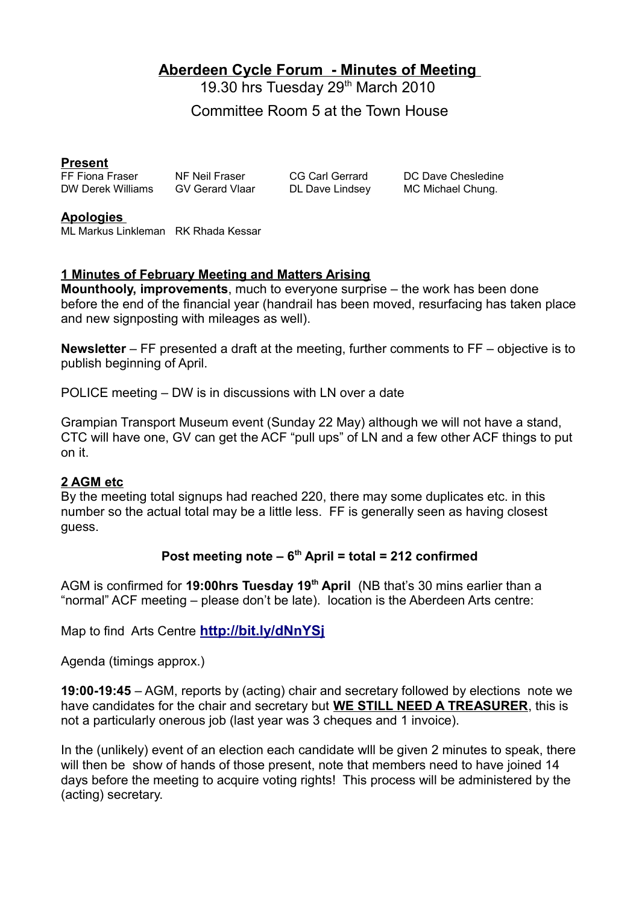# **Aberdeen Cycle Forum - Minutes of Meeting**

19.30 hrs Tuesday 29<sup>th</sup> March 2010

Committee Room 5 at the Town House

#### **Present**

FF Fiona Fraser NF Neil Fraser CG Carl Gerrard DC Dave Chesledine DW Derek Williams GV Gerard Vlaar DL Dave Lindsey MC Michael Chung.

**Apologies**  ML Markus Linkleman RK Rhada Kessar

## **1 Minutes of February Meeting and Matters Arising**

**Mounthooly, improvements**, much to everyone surprise – the work has been done before the end of the financial year (handrail has been moved, resurfacing has taken place and new signposting with mileages as well).

**Newsletter** – FF presented a draft at the meeting, further comments to FF – objective is to publish beginning of April.

POLICE meeting – DW is in discussions with LN over a date

Grampian Transport Museum event (Sunday 22 May) although we will not have a stand, CTC will have one, GV can get the ACF "pull ups" of LN and a few other ACF things to put on it.

#### **2 AGM etc**

By the meeting total signups had reached 220, there may some duplicates etc. in this number so the actual total may be a little less. FF is generally seen as having closest guess.

## **Post meeting note – 6th April = total = 212 confirmed**

AGM is confirmed for **19:00hrs Tuesday 19th April** (NB that's 30 mins earlier than a "normal" ACF meeting – please don't be late). location is the Aberdeen Arts centre:

Map to find Arts Centre **<http://bit.ly/dNnYSj>**

Agenda (timings approx.)

**19:00-19:45** – AGM, reports by (acting) chair and secretary followed by elections note we have candidates for the chair and secretary but **WE STILL NEED A TREASURER**, this is not a particularly onerous job (last year was 3 cheques and 1 invoice).

In the (unlikely) event of an election each candidate will be given 2 minutes to speak, there will then be show of hands of those present, note that members need to have joined 14 days before the meeting to acquire voting rights! This process will be administered by the (acting) secretary.